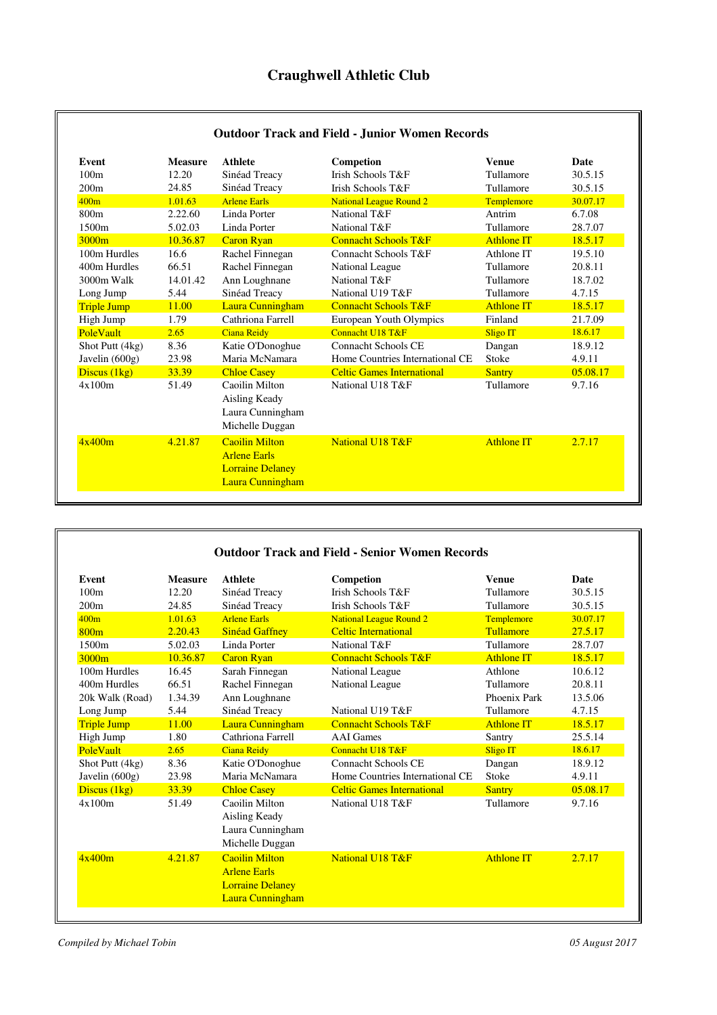| Event              | <b>Measure</b> | <b>Athlete</b>                                                                              | Competion                         | <b>Venue</b>      | Date     |
|--------------------|----------------|---------------------------------------------------------------------------------------------|-----------------------------------|-------------------|----------|
| 100m               | 12.20          | Sinéad Treacy                                                                               | <b>Irish Schools T&amp;F</b>      | Tullamore         | 30.5.15  |
| 200m               | 24.85          | Sinéad Treacy                                                                               | Irish Schools T&F                 | Tullamore         | 30.5.15  |
| 400m               | 1.01.63        | <b>Arlene Earls</b>                                                                         | <b>National League Round 2</b>    | <b>Templemore</b> | 30.07.17 |
| 800m               | 2.22.60        | Linda Porter                                                                                | National T&F                      | Antrim            | 6.7.08   |
| 1500m              | 5.02.03        | Linda Porter                                                                                | National T&F                      | Tullamore         | 28.7.07  |
| 3000m              | 10.36.87       | <b>Caron Ryan</b>                                                                           | <b>Connacht Schools T&amp;F</b>   | <b>Athlone IT</b> | 18.5.17  |
| 100m Hurdles       | 16.6           | Rachel Finnegan                                                                             | Connacht Schools T&F              | Athlone IT        | 19.5.10  |
| 400m Hurdles       | 66.51          | Rachel Finnegan                                                                             | <b>National League</b>            | Tullamore         | 20.8.11  |
| 3000m Walk         | 14.01.42       | Ann Loughnane                                                                               | National T&F                      | Tullamore         | 18.7.02  |
| Long Jump          | 5.44           | Sinéad Treacy                                                                               | National U19 T&F                  | Tullamore         | 4.7.15   |
| <b>Triple Jump</b> | 11.00          | Laura Cunningham                                                                            | <b>Connacht Schools T&amp;F</b>   | <b>Athlone IT</b> | 18.5.17  |
| High Jump          | 1.79           | Cathriona Farrell                                                                           | European Youth Olympics           | Finland           | 21.7.09  |
| <b>PoleVault</b>   | 2.65           | <b>Ciana Reidy</b>                                                                          | Connacht U18 T&F                  | Sligo IT          | 18.6.17  |
| Shot Putt (4kg)    | 8.36           | Katie O'Donoghue                                                                            | Connacht Schools CE               | Dangan            | 18.9.12  |
| Javelin (600g)     | 23.98          | Maria McNamara                                                                              | Home Countries International CE   | Stoke             | 4.9.11   |
| Discus (1kg)       | 33.39          | <b>Chloe Casey</b>                                                                          | <b>Celtic Games International</b> | <b>Santry</b>     | 05.08.17 |
| 4x100m             | 51.49          | Caoilin Milton<br>Aisling Keady<br>Laura Cunningham<br>Michelle Duggan                      | National U18 T&F                  | Tullamore         | 9.7.16   |
| 4x400m             | 4.21.87        | <b>Caoilin Milton</b><br><b>Arlene Earls</b><br><b>Lorraine Delaney</b><br>Laura Cunningham | <b>National U18 T&amp;F</b>       | <b>Athlone IT</b> | 2.7.17   |

## **Outdoor Track and Field - Senior Women Records**

| Event              | <b>Measure</b> | <b>Athlete</b>                                                                              | Competion                         | <b>Venue</b>      | Date     |
|--------------------|----------------|---------------------------------------------------------------------------------------------|-----------------------------------|-------------------|----------|
| 100m               | 12.20          | Sinéad Treacy                                                                               | <b>Irish Schools T&amp;F</b>      | Tullamore         | 30.5.15  |
| 200m               | 24.85          | Sinéad Treacy                                                                               | Irish Schools T&F                 | Tullamore         | 30.5.15  |
| 400m               | 1.01.63        | <b>Arlene Earls</b>                                                                         | National League Round 2           | Templemore        | 30.07.17 |
| 800m               | 2.20.43        | <b>Sinéad Gaffney</b>                                                                       | <b>Celtic International</b>       | Tullamore         | 27.5.17  |
| 1500m              | 5.02.03        | Linda Porter                                                                                | National T&F                      | Tullamore         | 28.7.07  |
| 3000m              | 10.36.87       | <b>Caron Ryan</b>                                                                           | <b>Connacht Schools T&amp;F</b>   | <b>Athlone IT</b> | 18.5.17  |
| 100m Hurdles       | 16.45          | Sarah Finnegan                                                                              | National League                   | Athlone           | 10.6.12  |
| 400m Hurdles       | 66.51          | Rachel Finnegan                                                                             | National League                   | Tullamore         | 20.8.11  |
| 20k Walk (Road)    | 1.34.39        | Ann Loughnane                                                                               |                                   | Phoenix Park      | 13.5.06  |
| Long Jump          | 5.44           | Sinéad Treacy                                                                               | National U19 T&F                  | Tullamore         | 4.7.15   |
| <b>Triple Jump</b> | 11.00          | Laura Cunningham                                                                            | <b>Connacht Schools T&amp;F</b>   | <b>Athlone IT</b> | 18.5.17  |
| High Jump          | 1.80           | Cathriona Farrell                                                                           | <b>AAI</b> Games                  | Santry            | 25.5.14  |
| PoleVault          | 2.65           | <b>Ciana Reidy</b>                                                                          | Connacht U18 T&F                  | <b>Sligo IT</b>   | 18.6.17  |
| Shot Putt (4kg)    | 8.36           | Katie O'Donoghue                                                                            | Connacht Schools CE               | Dangan            | 18.9.12  |
| Javelin $(600g)$   | 23.98          | Maria McNamara                                                                              | Home Countries International CE   | Stoke             | 4.9.11   |
| Discus (1kg)       | 33.39          | <b>Chloe Casey</b>                                                                          | <b>Celtic Games International</b> | <b>Santry</b>     | 05.08.17 |
| 4x100m             | 51.49          | Caoilin Milton<br>Aisling Keady<br>Laura Cunningham<br>Michelle Duggan                      | National U18 T&F                  | Tullamore         | 9.7.16   |
| 4x400m             | 4.21.87        | <b>Caoilin Milton</b><br><b>Arlene Earls</b><br><b>Lorraine Delaney</b><br>Laura Cunningham | <b>National U18 T&amp;F</b>       | <b>Athlone IT</b> | 2.7.17   |